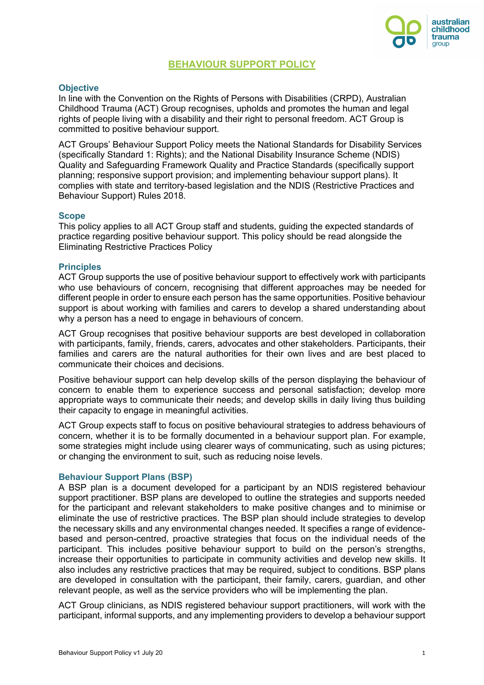

# **BEHAVIOUR SUPPORT POLICY**

## **Objective**

In line with the Convention on the Rights of Persons with Disabilities (CRPD), Australian Childhood Trauma (ACT) Group recognises, upholds and promotes the human and legal rights of people living with a disability and their right to personal freedom. ACT Group is committed to positive behaviour support.

ACT Groups' Behaviour Support Policy meets the National Standards for Disability Services (specifically Standard 1: Rights); and the National Disability Insurance Scheme (NDIS) Quality and Safeguarding Framework Quality and Practice Standards (specifically support planning; responsive support provision; and implementing behaviour support plans). It complies with state and territory-based legislation and the NDIS (Restrictive Practices and Behaviour Support) Rules 2018.

### **Scope**

This policy applies to all ACT Group staff and students, guiding the expected standards of practice regarding positive behaviour support. This policy should be read alongside the Eliminating Restrictive Practices Policy

## **Principles**

ACT Group supports the use of positive behaviour support to effectively work with participants who use behaviours of concern, recognising that different approaches may be needed for different people in order to ensure each person has the same opportunities. Positive behaviour support is about working with families and carers to develop a shared understanding about why a person has a need to engage in behaviours of concern.

ACT Group recognises that positive behaviour supports are best developed in collaboration with participants, family, friends, carers, advocates and other stakeholders. Participants, their families and carers are the natural authorities for their own lives and are best placed to communicate their choices and decisions.

Positive behaviour support can help develop skills of the person displaying the behaviour of concern to enable them to experience success and personal satisfaction; develop more appropriate ways to communicate their needs; and develop skills in daily living thus building their capacity to engage in meaningful activities.

ACT Group expects staff to focus on positive behavioural strategies to address behaviours of concern, whether it is to be formally documented in a behaviour support plan. For example, some strategies might include using clearer ways of communicating, such as using pictures; or changing the environment to suit, such as reducing noise levels.

### **Behaviour Support Plans (BSP)**

A BSP plan is a document developed for a participant by an NDIS registered behaviour support practitioner. BSP plans are developed to outline the strategies and supports needed for the participant and relevant stakeholders to make positive changes and to minimise or eliminate the use of restrictive practices. The BSP plan should include strategies to develop the necessary skills and any environmental changes needed. It specifies a range of evidencebased and person-centred, proactive strategies that focus on the individual needs of the participant. This includes positive behaviour support to build on the person's strengths, increase their opportunities to participate in community activities and develop new skills. It also includes any restrictive practices that may be required, subject to conditions. BSP plans are developed in consultation with the participant, their family, carers, guardian, and other relevant people, as well as the service providers who will be implementing the plan.

ACT Group clinicians, as NDIS registered behaviour support practitioners, will work with the participant, informal supports, and any implementing providers to develop a behaviour support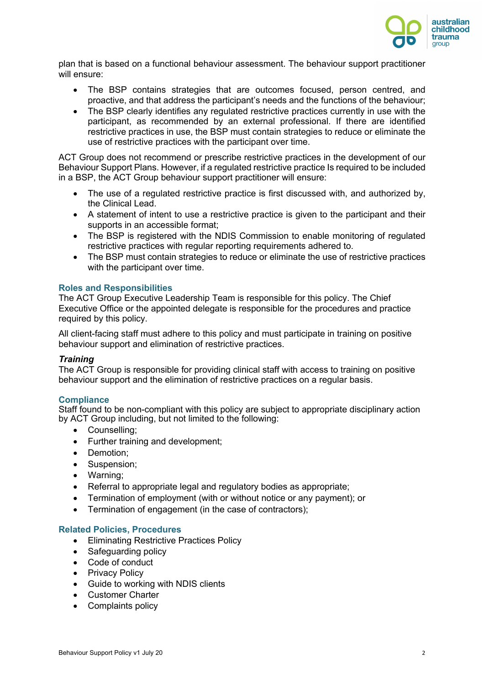

plan that is based on a functional behaviour assessment. The behaviour support practitioner will ensure:

- The BSP contains strategies that are outcomes focused, person centred, and proactive, and that address the participant's needs and the functions of the behaviour;
- The BSP clearly identifies any regulated restrictive practices currently in use with the participant, as recommended by an external professional. If there are identified restrictive practices in use, the BSP must contain strategies to reduce or eliminate the use of restrictive practices with the participant over time.

ACT Group does not recommend or prescribe restrictive practices in the development of our Behaviour Support Plans. However, if a regulated restrictive practice Is required to be included in a BSP, the ACT Group behaviour support practitioner will ensure:

- The use of a regulated restrictive practice is first discussed with, and authorized by, the Clinical Lead.
- A statement of intent to use a restrictive practice is given to the participant and their supports in an accessible format;
- The BSP is registered with the NDIS Commission to enable monitoring of regulated restrictive practices with regular reporting requirements adhered to.
- The BSP must contain strategies to reduce or eliminate the use of restrictive practices with the participant over time.

## **Roles and Responsibilities**

The ACT Group Executive Leadership Team is responsible for this policy. The Chief Executive Office or the appointed delegate is responsible for the procedures and practice required by this policy.

All client-facing staff must adhere to this policy and must participate in training on positive behaviour support and elimination of restrictive practices.

## *Training*

The ACT Group is responsible for providing clinical staff with access to training on positive behaviour support and the elimination of restrictive practices on a regular basis.

## **Compliance**

Staff found to be non-compliant with this policy are subject to appropriate disciplinary action by ACT Group including, but not limited to the following:

- Counselling;
- Further training and development;
- Demotion;
- Suspension;
- Warning;
- Referral to appropriate legal and regulatory bodies as appropriate;
- Termination of employment (with or without notice or any payment); or
- Termination of engagement (in the case of contractors);

## **Related Policies, Procedures**

- Eliminating Restrictive Practices Policy
- Safeguarding policy
- Code of conduct
- Privacy Policy
- Guide to working with NDIS clients
- Customer Charter
- Complaints policy